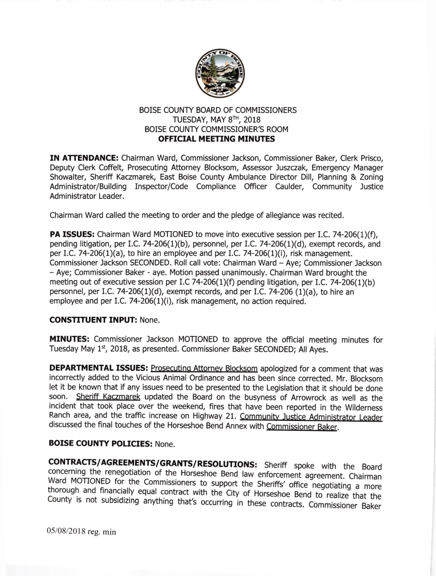

## BOISE COUNTY BOARD OF COMMISSIONERS TUESDAY, MAY  $8<sup>TH</sup>$ , 2018 BOISE COUNTY COMMISSIONER'S ROOM **OFFICIAL MEETING MINUTES**

IN ATTENDANCE: Chairman Ward, Commissioner Jackson, Commissioner Baker, Clerk Prisco, Deputy Clerk Coffelt, Prosecuting Attorney Blocksom. Assessor Juszczak, Emergency Manager Showalter, Sheriff Kaczmarek, East Boise County Ambulance Director Dill, Planning & Zoning Administrator/Building Inspector/Code Compliance Officer Caulder, Community Justice Administrator Leader.

Chairman Ward called the meeting to order and the pledge of allegiance was recited.

**PA ISSUES:** Chairman Ward MOTIONED to move into executive session per I.C. 74-206(1)(f), pending litigation, per I.C. 74-206(1)(b), personnel, per 1.C.74-206(1)(d), exempt records, and per I.C. 74-206(1)(a), to hire an employee and per I.C. 74-206(1)(i), risk management. Commissioner Jackson SECONDED. Roll call vote: Chairman Ward - Aye; Commissioner Jackson - Aye; Commissioner Baker - aye. Motion passed unanimously. Chairman Ward brought the meeting out of executive session per I.C 74-206(1)(f) pending litigation, per I.C. 74-206(1)(b) personnel, per I.C. 74-206(1)(d), exempt records, and per LC. 74-206 (1)(a), to hire an employee and per I.C. 74-206(1)(i), risk management, no action required.

## CONSTITUENT INPUT: None.

MINUTES: Commissioner Jackson MOTIONED to approve the official meeting minutes for Tuesday May 1\*, 2018, as presented. Commissioner Baker SECONDED; All Ayes.

DEPARTMENTAL ISSUES: Prosecuting Attorney Blocksom apologized for a comment that was incorrectly added to the Vicious Animal Ordinance and has been since corrected. Mr. Blocksom let it be known that if any issues need to be presented to the Legislation that it should be done soon. Sheriff Kaczmarek updated the Board on the busyness of Arrowrock as well as the incident that took place over the weekend, fires that have been reported in the wilderness Ranch area, and the traffic increase on Highway 21. Community Justice Administrator Leader discussed the final touches of the Horseshoe Bend Annex with Commissioner Baker.

## BOISE COUNTY POLICIES: None.

**CONTRACTS/AGREEMENTS/GRANTS/RESOLUTIONS:** Sheriff spoke with the Board concerning the renegotiation of the Horseshoe Bend law enforcement agreement. Chairman Ward MOTIONED for the Commissioners to support the Sheriffs' of

05/08/2018 reg. min